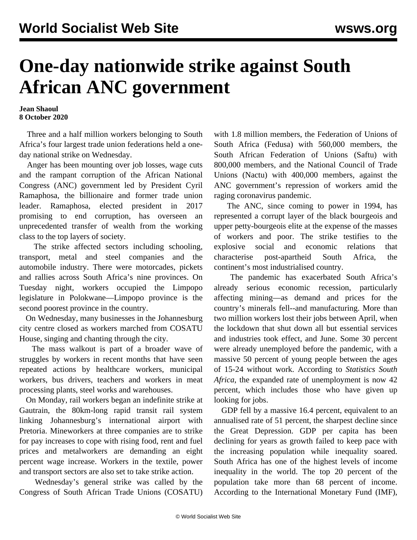## **One-day nationwide strike against South African ANC government**

**Jean Shaoul 8 October 2020**

 Three and a half million workers belonging to South Africa's four largest trade union federations held a oneday national strike on Wednesday.

 Anger has been mounting over job losses, wage cuts and the rampant corruption of the African National Congress (ANC) government led by President Cyril Ramaphosa, the billionaire and former trade union leader. Ramaphosa, elected president in 2017 promising to end corruption, has overseen an unprecedented transfer of wealth from the working class to the top layers of society.

 The strike affected sectors including schooling, transport, metal and steel companies and the automobile industry. There were motorcades, pickets and rallies across South Africa's nine provinces. On Tuesday night, workers occupied the Limpopo legislature in Polokwane—Limpopo province is the second poorest province in the country.

 On Wednesday, many businesses in the Johannesburg city centre closed as workers marched from COSATU House, singing and chanting through the city.

 The mass walkout is part of a broader wave of struggles by workers in recent months that have seen repeated actions by healthcare workers, municipal workers, bus drivers, teachers and workers in meat processing plants, steel works and warehouses.

 On Monday, rail workers began an indefinite strike at Gautrain, the 80km-long rapid transit rail system linking Johannesburg's international airport with Pretoria. Mineworkers at three companies are to strike for pay increases to cope with rising food, rent and fuel prices and metalworkers are demanding an eight percent wage increase. Workers in the textile, power and transport sectors are also set to take strike action.

 Wednesday's general strike was called by the Congress of South African Trade Unions (COSATU) with 1.8 million members, the Federation of Unions of South Africa (Fedusa) with 560,000 members, the South African Federation of Unions (Saftu) with 800,000 members, and the National Council of Trade Unions (Nactu) with 400,000 members, against the ANC government's repression of workers amid the raging coronavirus pandemic.

 The ANC, since coming to power in 1994, has represented a corrupt layer of the black bourgeois and upper petty-bourgeois elite at the expense of the masses of workers and poor. The strike testifies to the explosive social and economic relations that characterise post-apartheid South Africa, the continent's most industrialised country.

 The pandemic has exacerbated South Africa's already serious economic recession, particularly affecting mining—as demand and prices for the country's minerals fell--and manufacturing. More than two million workers lost their jobs between April, when the lockdown that shut down all but essential services and industries took effect, and June. Some 30 percent were already unemployed before the pandemic, with a massive 50 percent of young people between the ages of 15-24 without work. According to *Statistics South Africa*, the expanded rate of unemployment is now 42 percent, which includes those who have given up looking for jobs.

 GDP fell by a massive 16.4 percent, equivalent to an annualised rate of 51 percent, the sharpest decline since the Great Depression. GDP per capita has been declining for years as growth failed to keep pace with the increasing population while inequality soared. South Africa has one of the highest levels of income inequality in the world. The top 20 percent of the population take more than 68 percent of income. According to the International Monetary Fund (IMF),